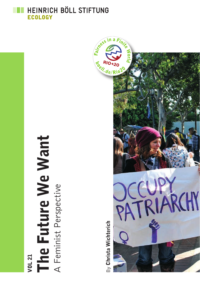HEINRICH BÖLL STIFTUNG **ECOLOGY** 

> The Future We Want The Future We Want A Feminist Perspective VOL 21

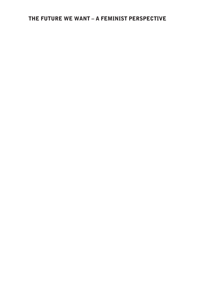### The Future We Want – A Feminist Perspective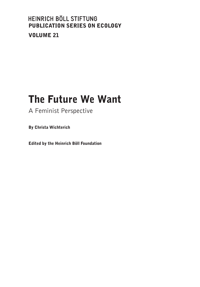### HEINRICH BÖLL STIFTUNG Publication Series On Ecology Volume 21

# The Future We Want

A Feminist Perspective

By Christa Wichterich

Edited by the Heinrich Böll Foundation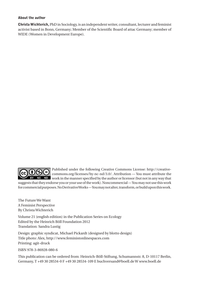#### About the author

Christa Wichterich, PhD in Sociology, is an independent writer, consultant, lecturer and feminist activist based in Bonn, Germany; Member of the Scientific Board of attac Germany; member of WIDE (Women in Development Europe).



Published under the following Creative Commons License: http://creative-COC commons.org/licenses/by-nc-nd/3.0/. Attribution — You must attribute the NC ND work in the manner specified by the author or licensor (but not in any way that suggests that they endorse you or your use of the work). Noncommercial — You may not use this work for commercial purposes. No Derivative Works — You may not alter, transform, or build upon this work.

The Future We Want A Feminist Perspective By Christa Wichterich

Volume 21 (english edition) in the Publication Series on Ecology Edited by the Heinrich Böll Foundation 2012 Translation: Sandra Lustig

Design: graphic syndicat, Michael Pickardt (designed by blotto design) Title photo: Alex, http://www.feministonlinespaces.com Printing: agit-druck

ISBN 978-3-86928-080-6

This publication can be ordered from: Heinrich-Böll-Stiftung, Schumannstr. 8, D-10117 Berlin, Germany, T +49 30 28534-0 F +49 30 28534-109 E buchversand@boell.de W www.boell.de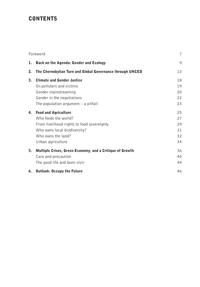### **CONTENTS**

| Foreword |                                                                                                                                                                              | $\overline{7}$                   |
|----------|------------------------------------------------------------------------------------------------------------------------------------------------------------------------------|----------------------------------|
| 1.       | Back on the Agenda: Gender and Ecology                                                                                                                                       | 9                                |
| 2.       | The Chernobylian Turn and Global Governance through UNCED                                                                                                                    | 13                               |
| 3.       | <b>Climate and Gender Justice</b><br>On polluters and victims<br>Gender mainstreaming<br>Gender in the negotiations<br>The population argument $-$ a pitfall                 | 18<br>19<br>20<br>22<br>23       |
| 4.       | <b>Food and Agriculture</b><br>Who feeds the world?<br>From livelihood rights to food sovereignty<br>Who owns local biodiversity?<br>Who owns the land?<br>Urban agriculture | 25<br>27<br>29<br>31<br>32<br>34 |
| 5.       | Multiple Crises, Green Economy, and a Critique of Growth<br>Care and precaution<br>The good life and buen vivir                                                              | 36<br>40<br>44                   |
| 6.       | <b>Outlook: Occupy the Future</b>                                                                                                                                            | 46                               |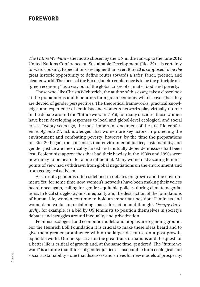#### **FOREWORD**

*The Future We Want* – the motto chosen by the UN in the run-up to the June 2012 United Nations Conference on Sustainable Development (Rio+20) – is certainly forward-looking. Expectations are higher than ever: Rio+20 is supposed to be *the* great historic opportunity to define routes towards a safer, fairer, greener, and cleaner world. The focus of the Rio de Janeiro conference is to be the principle of a "green economy" as a way out of the global crises of climate, food, and poverty.

Those who, like Christa Wichterich, the author of this essay, take a closer look at the preparations and blueprints for a green economy will discover that they are devoid of gender perspectives. The theoretical frameworks, practical knowledge, and experience of feminists and women's networks play virtually no role in the debate around the "future we want." Yet, for many decades, those women have been developing responses to local and global-level ecological and social crises. Twenty years ago, the most important document of the first Rio conference, *Agenda 21*, acknowledged that women are key actors in protecting the environment and combating poverty; however, by the time the preparations for Rio+20 began, the consensus that environmental justice, sustainability, and gender justice are inextricably linked and mutually dependent issues had been lost. Ecofeminist approaches that had their heyday in the 1980s and 1990s were now rarely to be heard, let alone influential. Many women advocating feminist points of view had withdrawn from global negotiations on the environment and from ecological activism.

As a result, gender is often sidelined in debates on growth and the environment. Yet, for some time now, women's networks have been making their voices heard once again, calling for gender-equitable policies during climate negotiations. In local struggles against inequality and the destruction of the foundations of human life, women continue to hold an important position: Feminists and women's networks are reclaiming spaces for action and thought. *Occupy Patriarchy*, for example, is a bid by US feminists to position themselves in society's debates and struggles around inequality and privatization.

Feminist ecological and economic models and utopias are regaining ground. For the Heinrich Böll Foundation it is crucial to make these ideas heard and to give them greater prominence within the larger discourse on a post-growth, equitable world. Our perspective on the great transformations and the quest for a better life is critical of growth and, at the same time, gendered: The "future we want" is a future that thinks of gender justice as inseparable from ecological and social sustainability – one that discusses and strives for new models of prosperity,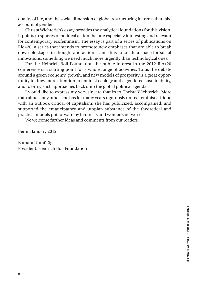quality of life, and the social dimension of global restructuring in terms that take account of gender.

Christa Wichterich's essay provides the analytical foundations for this vision. It points to spheres of political action that are especially interesting and relevant for contemporary ecofeminism. The essay is part of a series of publications on Rio+20, a series that intends to promote new emphases that are able to break down blockages in thought and action – and thus to create a space for social innovations, something we need much more urgently than technological ones.

For the Heinrich Böll Foundation the public interest in the 2012 Rio+20 conference is a starting point for a whole range of activities. To us the debate around a green economy, growth, and new models of prosperity is a great opportunity to draw more attention to feminist ecology and a gendered sustainability, and to bring such approaches back onto the global political agenda.

I would like to express my very sincere thanks to Christa Wichterich. More than almost any other, she has for many years rigorously united feminist critique with an outlook critical of capitalism; she has publicized, accompanied, and supported the emancipatory and utopian substance of the theoretical and practical models put forward by feminists and women's networks.

We welcome further ideas and comments from our readers.

Berlin, January 2012

Barbara Unmüßig President, Heinrich Böll Foundation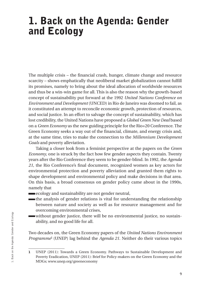## 1. Back on the Agenda: Gender and Ecology

The multiple crisis – the financial crash, hunger, climate change and resource scarcity – shows emphatically that neoliberal market globalization cannot fulfill its promises, namely to bring about the ideal allocation of worldwide resources and thus be a win-win game for all. This is also the reason why the growth-based concept of sustainability put forward at the 1992 *United Nations Conference on Environment and Development* (UNCED) in Rio de Janeiro was doomed to fail, as it constituted an attempt to reconcile economic growth, protection of resources, and social justice. In an effort to salvage the concept of sustainability, which has lost credibility, the United Nations have proposed a *Global Green New Deal* based on a *Green Economy* as the new guiding principle for the Rio+20 Conference. The Green Economy seeks a way out of the financial, climate, and energy crisis and, at the same time, tries to make the connection to the *Millennium Development Goals* and poverty alleviation.

Taking a closer look from a feminist perspective at the papers on the *Green Economy*, one is struck by the fact how few gender aspects they contain. Twenty years after the Rio Conference they seem to be gender-blind. In 1992, the *Agenda 21*, the Rio Conference's final document, recognized women as key actors for environmental protection and poverty alleviation and granted them rights to shape development and environmental policy and make decisions in that area. On this basis, a broad consensus on gender policy came about in the 1990s, namely that

- **Example 2** ecology and sustainability are not gender neutral,
- the analysis of gender relations is vital for understanding the relationship between nature and society as well as for resource management and for overcoming environmental crises,
- without gender justice, there will be no environmental justice, no sustainability, and no good life for all.

Two decades on, the Green Economy papers of the *United Nations Environment Programme*<sup>1</sup> (UNEP) lag behind the *Agenda 21*. Neither do their various topics

<sup>1</sup> UNEP (2011): Towards a Green Economy. Pathways to Sustainable Development and Poverty Eradication, UNEP (2011): Brief for Policy-makers on the Green Economy and the MDGs; www.unep.org/greeneconomy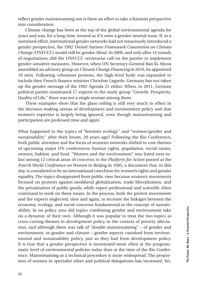reflect gender mainstreaming nor is there an effort to take a feminist perspective into consideration.

Climate change has been at the top of the global environmental agenda for years and was, for a long time, treated as if it were a gender-neutral issue. If, in a sustained effort, international gender networks had not tenaciously introduced a gender perspective, the 1992 *United Nations Framework Convention on Climate Change* (UNFCCC) would still be gender-blind. In 2008, and only after 14 rounds of negotiations, did the UNFCCC secretariat call on the parties to implement gender-sensitive measures. However, when UN Secretary-General Ban Ki-Moon assembled an advisory group on *Climate Change Financing* in 2010, he appointed 19 men. Following vehement protests, the high-level body was expanded to include then French finance minister Christine Lagarde. Germany has not taken up the gender message of the 1992 Agenda 21 either. When, in 2011, German political parties nominated 17 experts to the study group "Growth, Prosperity, Quality of Life," there was not a single woman among them.

These examples show that the glass ceiling is still very much in effect in the decision-making arenas of development and environment policy and that women's expertise is largely being ignored, even though mainstreaming and participation are professed time and again.

What happened to the topics of "feminist ecology" and "women/gender and sustainability" after their boom, 20 years ago? Following the Rio Conference, both public attention and the focus of women's networks shifted to core themes of upcoming major UN conferences: human rights, population, social issues, women, habitat, and food. "Women and the environment" was listed next-tolast among 12 critical areas of concerns in the *Platform for Action* passed at the *Fourth World Conference on Women* in Beijing in 1995, a document that, to this day, is considered to be an international catechism for women's rights and gender equality. The topics disappeared from public view because women's movements focused on protests against neoliberal globalization, trade liberalization, and the privatization of public goods, while expert professional and scientific elites continued to work on these issues. In the process, both the protest movements and the experts neglected, time and again, to recreate the linkages between the economy, ecology, and social concerns fundamental to the concept of sustainability. In no policy area did topics combining gender and environment take on a dynamic of their own. Although it was popular to treat the two topics as cross-cutting themes in development policy in the context of poverty alleviation, and although there was talk of "double mainstreaming" – of gender and environment, or gender and climate – gender aspects vanished from environmental and sustainability policy, just as they had from development policy. It is true that a gender perspective is mentioned more often at the programmatic level of environmental policies today than at the time of the Rio Conference. Mainstreaming as a technical procedure is more widespread. The proportion of women in specialist elites and political delegations has increased. Yet,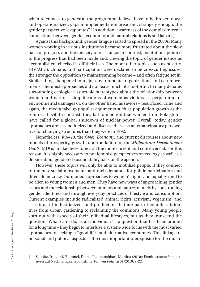when references to gender at the programmatic level have to be broken down and operationalized, gaps in implementation arise and, strangely enough, the gender perspective "evaporates".2 In addition, awareness of the complex internal connections between gender, economic, and natural relations is still lacking.

Against this background, gender fatigue started to spread in the 2000s: Many women working in various institutions became more frustrated about the slow pace of progress and the tenacity of resistance. In contrast, institutions pointed to the progress that had been made and, viewing the topic of gender justice as accomplished, checked it off their lists. The more other topics such as poverty, HIV/AIDS, climate, and participation were declared to be crosscutting issues, the stronger the opposition to mainstreaming became – and often fatigue set in. Similar things happened in major environmental organizations and eco-movements – feminist approaches did not leave much of a footprint. In many debates surrounding ecological issues old stereotypes about the relationship between women and nature – simplifications of women as victims, as perpetrators of environmental damages or, on the other hand, as saviors – resurfaced. Time and again, the media take up populist arguments such as population growth as the root of all evil. In contrast, they fail to mention that women from Fukushima have called for a global shutdown of nuclear power. Overall, today, gender approaches are less politicized and discussed less as an emancipatory perspective for changing structures than they were in 1992.

Nonetheless, Rio+20, the *Green Economy*, and current discourses about new models of prosperity, growth, and the failure of the *Millennium Development Goals* (MDGs) make these topics all the more current and controversial. For this reason, it is highly necessary to put feminist perspectives on ecology as well as a debate about gendered sustainability back on the agenda.

However, these topics will only be able to mobilize people, if they connect to the new social movements and their demands for public participation and direct democracy. Outmoded approaches to women's rights and equality tend to be alien to young women and men. They have new ways of approaching gender issues and the relationship between humans and nature, namely by constructing gender identities and through everyday practices of lifestyle and consumption. Current examples include radicalized animal rights activism, veganism, and a critique of industrialized food production that are part of countless initiatives from urban gardening to reclaiming the commons. Many young people start out with aspects of their individual lifestyles, but as they transcend the question "What can I do, as an individual?" – a question that has been around for a long time – they begin to interfuse a system-wide focus with the most varied approaches to seeking a "good life" and alternative economies. This linkage of personal and political aspects is the most important prerequisite for the much-

<sup>2</sup> Schultz, Irmgard/Hummel, Diana, Padmanabhan, Martina (2010): Feministische Perspektiven auf Nachhaltigkeitspolitik, in: *Femina Politica* 01/2010, 9-22.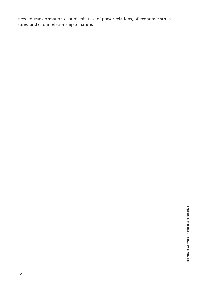needed transformation of subjectivities, of power relations, of economic structures, and of our relationship to nature.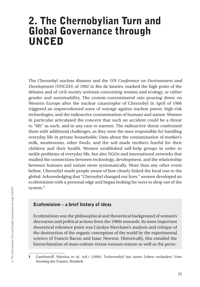## 2. The Chernobylian Turn and Global Governance through UNCED

The Chernobyl nuclear disaster and the *UN Conference on Environment and Development* (UNCED) of 1992 in Rio de Janeiro, marked the high point of the debates and of civil-society activism concerning women and ecology, or rather gender and sustainability. The cesium-contaminated rain pouring down on Western Europe after the nuclear catastrophe of Chernobyl in April of 1986 triggered an unprecedented wave of outrage against nuclear power, high-risk technologies, and the radioactive contamination of humans and nature. Women in particular articulated the concern that such an accident could be a threat to "life" as such, and in any case to nurture. The radioactive threat confronted them with additional challenges, as they were the ones responsible for handling everyday life in private households: Data about the contamination of mother's milk, mushrooms, other foods, and the soil made mothers fearful for their children and their health. Women established self-help groups in order to tackle problems of everyday life, but also NGOs and international networks that studied the connections between technology, development, and the relationship between humans and nature more systematically. More than any other event before, Chernobyl made people aware of how closely linked the local was to the global. Acknowledging that "Chernobyl changed our lives," women developed an ecofeminism with a personal edge and began looking for ways to drop out of the system.3

#### Ecofeminism – a brief history of ideas

Ecofeminism was the philosophical and theoretical background of women's discourses and political actions from the 1980s onwards. Its most important theoretical reference point was Carolyn Merchant's analysis and critique of the destruction of the organic conception of the world by the experimental science of Francis Bacon and Isaac Newton. Historically, this entailed the hierarchization of man=culture versus woman=nature as well as the perse-

<sup>3</sup> Gambaroff, Martina et al. (ed.) (1996): Tschernobyl hat unser Leben verändert. Vom Ausstieg der Frauen, Reinbek.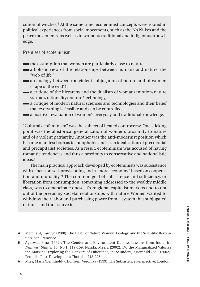cution of witches.4 At the same time, ecofeminist concepts were rooted in political experiences from social movements, such as the No Nukes and the peace movements, as well as in women's traditional and indigenous knowledge.

**Premises of ecofeminism**

- the assumption that women are particularly close to nature,
- **a** holistic view of the relationships between humans and nature, the "web of life,"
- an analogy between the violent subjugation of nature and of women ("rape of the wild"),
- a critique of the hierarchy and the dualism of woman/emotion/nature vs. man/rationality/culture/technology,
- a critique of modern natural sciences and technologies and their belief that everything is feasible and can be controlled,
- **a** positive revaluation of women's everyday and traditional knowledge.

"Cultural ecofeminism" was the subject of heated controversy. One sticking point was the ahistorical generalization of women's proximity to nature and of a violent patriarchy. Another was the anti-modernist position which became manifest both as technophobia and as an idealization of precolonial and precapitalist societies. As a result, ecofeminism was accused of having romantic tendencies and thus a proximity to conservative and nationalistic ideas.5

The main practical approach developed by ecofeminists was subsistence with a focus on self-provisioning and a "moral economy" based on cooperation and mutuality. 6 The common goal of subsistence and sufficiency, or liberation from consumption, something addressed to the wealthy middle class, was to emancipate oneself from global capitalist markets and to opt out of the prevailing societal relationships with nature. Women wanted to withdraw their labor and purchasing power from a system that subjugated nature – and thus starve it.

<sup>4</sup> Merchant, Carolyn (1980): The Death of Nature. Women, Ecology, and the Scientific Revolution, San Francisco.

<sup>5</sup> Agarwal, Bina (1992): The Gender and Environment Debate: Lessons from India, in: *Feminist Studies* 18, No.1, 119-159; Nanda, Meera (2002): Do the Marginalized Valorize the Margins? Exploring the Dangers of Difference, in: Saunders, Kriemhild (ed.) (2002): Feminist Post-Development Thought, 212-225.

<sup>6</sup> Mies, Maria/Bennholdt-Thomsen, Veronika (1999): The Subsistence Perspective, London.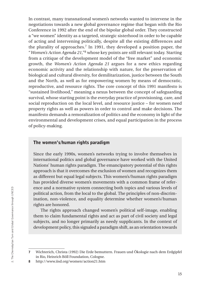In contrast, many transnational women's networks wanted to intervene in the negotiations towards a new global governance regime that began with the Rio Conference in 1992 after the end of the bipolar global order. They constructed a "we women" identity as a targeted, strategic sisterhood in order to be capable of acting and intervening politically, despite all the existing differences and the plurality of approaches.7 In 1991, they developed a position paper, the "*Women's Action Agenda 21*,"8 whose key points are still relevant today. Starting from a critique of the development model of the "free market" and economic growth, the *Women's Action Agenda 21* argues for a new ethics regarding economic activity and the relationship with nature, for the preservation of biological and cultural diversity, for demilitarization, justice between the South and the North, as well as for empowering women by means of democratic, reproductive, and resource rights. The core concept of this 1991 manifesto is "sustained livelihood," meaning a nexus between the concept of safeguarding survival, whose starting point is the everyday practice of provisioning, care, and social reproduction on the local level, and resource justice – for women need property rights as well as powers in order to control and make decisions. The manifesto demands a remoralization of politics and the economy in light of the environmental and development crises, and equal participation in the process of policy-making.

#### The women's/human rights paradigm

Since the early 1990s, women's networks trying to involve themselves in international politics and global governance have worked with the United Nations' human rights paradigm. The emancipatory potential of this rights approach is that it overcomes the exclusion of women and recognizes them as different but equal legal subjects. This women's/human rights paradigm has provided diverse women's movements with a common frame of reference and a normative system connecting both topics and various levels of political action, from the local to the global. The principles of non-discrimination, non-violence, and equality determine whether women's/human rights are honored.

The rights approach changed women's political self-image, enabling them to claim fundamental rights and act as part of civil society and legal subjects, and no longer primarily as needy supplicants. In the context of development policy, this signaled a paradigm shift, as an orientation towards

<sup>7</sup> Wichterich, Christa (1992) Die Erde bemuttern. Frauen und Ökologie nach dem Erdgipfel in Rio, Heinrich Böll Foundation, Cologne.

<sup>8</sup> http://www.iisd.org/women/action21.htm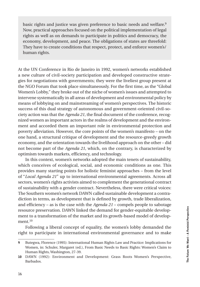basic rights and justice was given preference to basic needs and welfare.<sup>9</sup> Now, practical approaches focused on the political implementation of legal rights as well as on demands to participate in politics and democracy, the economy, development, and peace. The obligations of states are threefold: They have to create conditions that respect, protect, and enforce women's/ human rights.

At the UN Conference in Rio de Janeiro in 1992, women's networks established a new culture of civil-society participation and developed constructive strategies for negotiations with governments; they were the liveliest group present at the NGO Forum that took place simultaneously. For the first time, as the "Global Women's Lobby," they broke out of the niche of women's issues and attempted to intervene systematically in all areas of development and environmental policy by means of lobbying on and mainstreaming of women's perspectives. The historic success of this dual strategy of autonomous and government-oriented civil-society action was that the *Agenda 21*, the final document of the conference, recognized women as important actors in the realms of development and the environment and accorded them an important role in environmental protection and poverty alleviation. However, the core points of the women's manifesto – on the one hand, a structural critique of development and the resource-greedy growth economy, and the orientation towards the livelihood approach on the other – did not become part of the *Agenda 21*, which, on the contrary, is characterized by optimism towards markets, efficiency, and technology.

In this context, women's networks adopted the main tenets of sustainability, which conceives of ecological, social, and economic conditions as one. This provides many starting points for holistic feminist approaches – from the level of "*Local Agenda 21*" up to international environmental agreements. Across all sectors, women's rights activists aimed to complement the generational contract of sustainability with a gender contract. Nevertheless, there were critical voices: The Southern women's network DAWN called sustainable development a contradiction in terms, as development that is defined by growth, trade liberalization, and efficiency – as is the case with the *Agenda 21* – compels people to sabotage resource preservation. DAWN linked the demand for gender-equitable development to a transformation of the market and its growth-based model of development.<sup>10</sup>

Following a liberal concept of equality, the women's lobby demanded the right to participate in international environmental governance and to make

<sup>9</sup> Butegwa, Florence (1995): International Human Rights Law and Practice: Implications for Women, in: Schuler, Margaret (ed.), From Basic Needs to Basic Rights: Women's Claim to Human Rights, Washington, 27-39.

<sup>10</sup> DAWN (1992): Environment and Development: Grass Roots Women's Perspective, Barbados.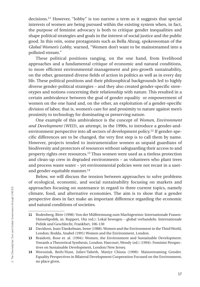decisions.11 However, "lobby" is too narrow a term as it suggests that special interests of women are being pursued within the existing system when, in fact, the purpose of feminist advocacy is both to critique gender inequalities and shape political strategies and goals in the interest of social justice and the public good. In this vein, some protagonists such as Bella Abzug, spokeswoman of the *Global Women's Lobby*, warned, "Women don't want to be mainstreamed into a polluted stream."

These political positions ranging, on the one hand, from livelihood approaches and a fundamental critique of economic and natural conditions, to more efficient environmental management and pro-growth sustainability, on the other, generated diverse fields of action in politics as well as in every day life. These political positions and their philosophical backgrounds led to highly diverse gender-political strategies – and they also created gender-specific stereotypes and notions concerning their relationship with nature. This resulted in a certain ambivalence between the goal of gender equality or empowerment of women on the one hand and, on the other, an exploitation of a gender-specific division of labor, that is, women's care for and proximity to nature against men's proximity to technology for dominating or preserving nature.

One example of this ambivalence is the concept of *Women, Environment and Development* (WED), an attempt, in the 1990s, to introduce a gender-andenvironment perspective into all sectors of development policy.12 If gender-specific differences are to be changed, the very first step is to call them by name. However, projects tended to instrumentalize women as unpaid guardians of biodiversity and protectors of resources without safeguarding their access to and property rights over resources.13 Thus women were used as a tireless protection and clean-up crew in degraded environments – as volunteers who plant trees and process waste water – yet environmental policies were not recast in a userand gender-equitable manner.<sup>14</sup>

Below, we will discuss the tension between approaches to solve problems of ecological, economic, and social sustainability focusing on markets and approaches focusing on sustenance in regard to three current topics, namely climate, food, and alternative economies. The aim is to show that a gender perspective does in fact make an important difference regarding the economic and natural conditions of societies.

<sup>11</sup> Rodenberg, Birte (1998): Von der Mülltrennung zum Machtgewinn: Internationale Frauen-Umweltpolitk, in: Ruppert, Uta (ed.): Lokal bewegen – global verhandeln. Internationale Politik und Geschlecht, Frankfurt, 106-130

<sup>12</sup> Davidson, Joan/Dankelman, Irene (1988): Women and the Environment in the Third World, London; Rodda, Anabel (1991) Women and the Environment, London.

<sup>13</sup> Braidotti, Rose et. al. (1994): Women, the Environment and Sustainable Development. Towards a Theoretical Synthesis, London; Harcourt, Wendy (ed.) (1994): Feminist Perspectives on Sustainable Development, London/New Jersey.

<sup>14</sup> Woroniuk, Beth/Hunt, Juliet/Tabeth, Matiyz Chiuta (1998): Mainstreaming Gender. Equality Perspectives in Bilateral Development Cooperation Focused on the Environment, no place given.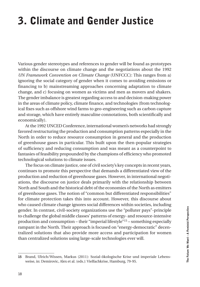# 3. Climate and Gender Justice

Various gender stereotypes and references to gender will be found as prototypes within the discourse on climate change and the negotiations about the 1992 *UN Framework Convention on Climate Change* (UNFCCC): This ranges from a) ignoring the social category of gender when it comes to avoiding emissions or financing to b) mainstreaming approaches concerning adaptation to climate change, and c) focusing on women as victims and men as movers and shakers. The gender imbalance is greatest regarding access to and decision-making power in the areas of climate policy, climate finance, and technologies (from technological fixes such as offshore wind farms to geo-engineering such as carbon capture and storage, which have entirely masculine connotations, both scientifically and economically).

At the 1992 UNCED Conference, international women's networks had strongly favored restructuring the production and consumption patterns especially in the North in order to reduce resource consumption in general and the production of greenhouse gases in particular. This built upon the then-popular strategies of sufficiency and reducing consumption and was meant as a counterpoint to fantasies of feasibility propounded by the champions of efficiency who promoted technological solutions to climate issues.

The focus on climate justice, one of civil society's key concepts in recent years, continues to promote this perspective that demands a differentiated view of the production and reduction of greenhouse gases. However, in international negotiations, the discourse on justice deals primarily with the relationship between North and South and the historical debt of the economies of the North as emitters of greenhouse gases. The notion of "common but differentiated responsibilities" for climate protection takes this into account. However, this discourse about who caused climate change ignores social differences within societies, including gender. In contrast, civil-society organizations use the "polluter pays"-principle to challenge the global middle classes' patterns of energy- and resource-intensive production and consumption – their "imperial lifestyle"15 – something especially rampant in the North. Their approach is focused on "energy-democratic" decentralized solutions that also provide more access and participation for women than centralized solutions using large-scale technologies ever will.

<sup>15</sup> Brand, Ulrich/Wissen, Markus (2011): Sozial-ökologische Krise und imperiale Lebensweise, in: Demirovic, Alex et al. (eds.): Vielfachkrise, Hamburg, 79-95.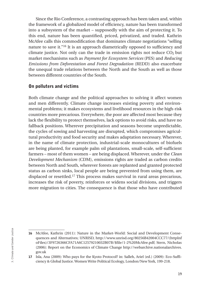Since the Rio Conference, a contrasting approach has been taken and, within the framework of a globalized model of efficiency, nature has been transformed into a subsystem of the market – supposedly with the aim of protecting it. To this end, nature has been quantified, priced, privatized, and traded. Kathrin McAfee calls this commodification that dominates climate negotiations "selling nature to save it."16 It is an approach diametrically opposed to sufficiency and climate justice. Not only can the trade in emission rights not reduce  $CO<sub>2</sub>$  but market mechanisms such as *Payment for Ecosystem Services* (PES) and *Reducing Emissions from Deforestation and Forest Degradation* (REDD) also exacerbate the unequal trade relations between the North and the South as well as those between different countries of the South.

#### On polluters and victims

Both climate change and the political approaches to solving it affect women and men differently. Climate change increases existing poverty and environmental problems; it makes ecosystems and livelihood resources in the high-risk countries more precarious. Everywhere, the poor are affected most because they lack the flexibility to protect themselves, lack options to avoid risks, and have no fallback positions. Wherever precipitation and seasons become unpredictable, the cycles of sowing and harvesting are disrupted, which compromises agricultural productivity and food security and makes adaptation necessary. Wherever, in the name of climate protection, industrial-scale monocultures of biofuels are being planted, for example palm oil plantations, small-scale, self-sufficient farmers – most of them women – are being displaced. Wherever, under the *Clean Development Mechanism* (CDM), emissions rights are traded as carbon credits between North and South, wherever forests are replanted and granted protected status as carbon sinks, local people are being prevented from using them, are displaced or resettled.17 This process makes survival in rural areas precarious, increases the risk of poverty, reinforces or widens social divisions, and triggers more migration to cities. The consequence is that those who have contributed

<sup>16</sup> McAfee, Kathrin (2011): Nature in the Market-World: Social and Development Consequences and Alternatives; UNRISD, http://www.unrisd.org/80256B42004CCC77/(httpInf oFiles)/3F9726366CFA71A6C12579210032B07B/\$file/1-2%20McAfee.pdf; Stern, Nicholas (2006): Report on the Economics of Climate Change http://webarchive.nationalarchives. gov.uk

<sup>17</sup> Isla, Ana (2009): Who pays for the Kyoto Protocol? in: Salleh, Ariel (ed.) (2009): Eco-Sufficiency & Global Justice. Women Write Political Ecology, London/New York, 199-218.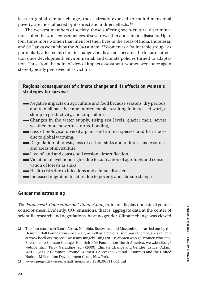least to global climate change, those already exposed to multidimensional poverty, are most affected by its direct and indirect effects. <sup>18</sup>

The weakest members of society, those suffering socio-cultural discrimination, suffer the worst consequences of severe weather and climate disasters. Up to four times more women than men lost their lives in the areas of India, Indonesia, and Sri Lanka worst hit by the 2004 tsunami.19 Women as a "vulnerable group," as particularly affected by climate change and disasters, became the focus of attention once development, environmental, and climate policies turned to adaptation. Thus, from the point of view of impact assessment, women were once again stereotypically perceived of as victims.

#### Regional consequences of climate change and its effects on women's strategies for survival

- Negative impacts on agriculture and food because seasons, dry periods, and rainfall have become unpredictable, resulting in increased work, a slump in productivity, and crop failures,
- Changes in the water supply, rising sea levels, glacier melt, severe weather, more powerful storms, flooding,
- Loss of biological diversity, plant and animal species, and fish stocks due to global warming,
- Degradation of forests, loss of carbon sinks and of forests as resources and areas of silviculture,
- Loss of land and coasts, soil erosion, desertification,
- Violation of livelihood rights due to cultivation of agrofuels and conservation of forests as sinks,
- **Health risks due to infections and climate disasters.**
- Increased migration to cities due to poverty and climate change.

#### Gender mainstreaming

The *Framework Convention on Climate Change* did not display one iota of gender consciousness. Evidently,  $CO<sub>2</sub>$  emissions, that is, aggregate data at the center of scientific research and negotiations, have no gender. Climate change was viewed

<sup>18</sup> The four studies in South Africa, Namibia, Botswana, and Mozambique carried out by the Heinrich Böll Foundation since 2007, as well as a regional summary thereof, are available at www.boell.org.za; see also: Jenny Jungehülsing (2011): Women who go, women who stay: Reactions to Climate Change, Heinrich Böll Foundation North America, www.boell.org/ web/52.html; Terry, Geraldine (ed.) (2009): Climate Change and Gender Justice, Oxfam; WEDO (2003): Common Ground. Women`s Access to Natural Resources and the United Nations Millennium Development Goals, New York.

<sup>19</sup> www.spiegel.de/wissenschaft/mensch/0,1518,362711,00.html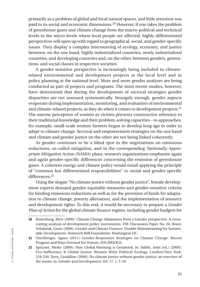primarily as a problem of global and local natural spaces, and little attention was paid to its social and economic dimensions.20 However, if one takes the problem of greenhouse gases and climate change from the macro-political and technical levels to the micro-levels where local people are affected, highly differentiated perspectives will open up with regard to geographical, social, and gender-specific issues. They display a complex interweaving of ecology, economy, and justice between, on the one hand, highly industrialized countries, newly industrialized countries, and developing countries and, on the other, between genders, generations, and social classes in respective societies.

A gender-sensitive perspective is increasingly being included in climaterelated environmental and development projects at the local level and in policy planning at the national level. More and more gender analyses are being conducted as part of projects and programs. The most recent studies, however, have determined that during the development of sectoral strategies gender disparities are not assessed systematically. Strangely enough, gender aspects evaporate during implementation, monitoring, and evaluation of environmental and climate-related projects, as they do when it comes to development projects.<sup>21</sup> The narrow perception of women as victims prevents constructive reference to their traditional knowledge and their problem-solving capacities – to approaches, for example, small-scale women farmers began to develop long ago in order to adapt to climate change. Sectoral and empowerment strategies on the one hand and climate and gender justice on the other are not being linked coherently.

As gender continues to be a blind spot in the negotiations on emissions reductions, so-called mitigation, and in the corresponding *Nationally Appropriate Mitigation Action* (NAMA) plans, women's organizations emphasize again and again gender-specific differences concerning the emission of greenhouse gases. A coherent energy and climate policy would entail applying the principle of "common but differentiated responsibilities" to social and gender-specific differences.<sup>22</sup>

Using the slogan "No climate justice without gender justice", female development experts demand gender-equitable measures and gender-sensitive criteria for binding emissions reductions as well as for the provision of funds for adaptation to climate change, poverty alleviation, and the implementation of resource and development rights. To this end, it would be necessary to prepare a *Gender Plan of Action* for the global climate finance regime, including gender budgets for

<sup>20</sup> Rodenberg, Birte (2009): Climate Change Adaptation from a Gender perspective. A crosscutting analysis of development policy instruments. DIE Discussion Paper No. 24, Bonn; Schalatak, Liane (2009): Gender and Climate Finance: Double Mainstreaming for Sustainable Development, Heimrich Böll Foundation, Washington DC.

<sup>21</sup> Otzelberger, Agnes (2011) Gender-Responsive Strategies on Climate Change: Recent Progress and Ways Forward for Donors, IDS/BRIDGE.

<sup>22</sup> Spitzner, Meike (2009): How Global Warming is Gendered, in: Salleh, Ariel (ed.) (2009): Eco-Sufficiency & Global Justice. Women Write Political Ecology, London/New York, 218-230; Terry, Geraldine (2009): No climate justice without gender justice: an overview of the issues, in: Gender and Development, Vol. 17, 1, 5-18.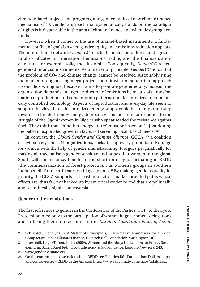climate-related projects and programs, and gender audits of new climate finance mechanisms.23 A gender approach that systematically builds on the paradigm of rights is indispensable in the area of climate finance and when designing new funds.

However, when it comes to the use of market-based instruments, a fundamental conflict of goals between gender equity and emissions reduction appears. The international network *GenderCC* rejects the inclusion of forest and agricultural certificates in international emissions trading and the financialization of nature, for example soils, that it entails. Consequently, *GenderCC* rejects gendered financial instruments. As a matter of principle, *GenderCC* holds that the problem of  $CO<sub>2</sub>$  and climate change cannot be resolved sustainably using the market or engineering mega-projects, and it will not support an approach it considers wrong just because it aims to promote gender equity. Instead, the organization demands an urgent reduction of emissions by means of a transformation of production and consumption patterns and decentralized, democratically controlled technology. Aspects of reproduction and everyday life seem to support the view that a decentralized energy supply could be an important step towards a climate-friendly energy democracy. This position corresponds to the struggle of the Ogoni women in Nigeria who spearheaded the resistance against Shell. They think that "[a]nother energy future" must be based on "[a]bandoning the belief in export-led growth in favour of servicing local (basic) needs."24

In contrast, the *Global Gender and Climate Alliance* (GGCA),<sup>25</sup> a coalition of civil-society and UN organizations, seeks to tap every potential advantage for women with the help of gender mainstreaming. It argues pragmatically for making all mechanisms gender-sensitive and hopes that women in the global South will, for instance, benefit in the short term by participating in REDD (the commercialization of forest protection), as women's groups in southern India benefit from certificates on biogas plants.26 By making gender equality its priority, the GGCA supports – at least implicitly – market-oriented paths whose effects are, thus far, not backed up by empirical evidence and that are politically and scientifically highly controversial.

#### Gender in the negotiations

The first references to gender in the Conferences of the Parties (COP) to the Kyoto Protocol pointed only to the participation of women in government delegations and to taking them into account in the *National Adaptation Plans of Action* 

<sup>23</sup> Schlalatek, Liane (2010): A Matter of Priniciple(s). A Normative Framework for a Global Compact on Public Climate Finance, Heinrich Böll Foundation, Washington DC.

<sup>24</sup> Brownhill, Leigh/Turner, Terisa (2009): Women and the Abuja Declaration for Energy Sovereignty, in: Salleh, Ariel (ed.): Eco-Sufficiency & Global Justice, London/New York, 243.

<sup>25</sup> www.gender-climate.org

<sup>26</sup> On the controversial discussion about REDD see Heinrich Böll Foundation: Dollars, hopes and controversies – REDD in the Amazon http://www.fairclimate.com/ngos/adats.aspx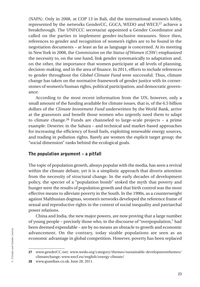(NAPA). Only in 2008, at COP 13 in Bali, did the international women's lobby, represented by the networks GenderCC, GGCA, WEDO and WECF,<sup>27</sup> achieve a breakthrough. The UNFCCC secretariat appointed a Gender Coordinator and called on the parties to implement gender-inclusive measures. Since then, references to gender and recognition of women's rights are to be found in the negotiation documents – at least as far as language is concerned. At its meeting in New York in 2008, the *Commission on the Status of Women* (CSW) emphasized the necessity to, on the one hand, link gender systematically to adaptation and, on the other, the importance that women participate at all levels of planning, decision-making, and in the area of finance. In 2011, efforts to include references to gender throughout the *Global Climate Fund* were successful. Thus, climate change has taken on the normative framework of gender justice with its cornerstones of women's/human rights, political participation, and democratic governance.

According to the most recent information from the UN, however, only a small amount of the funding available for climate issues, that is, of the 6.5 billion dollars of the *Climate Investment Fund* underwritten by the World Bank, arrive at the grassroots and benefit those women who urgently need them to adapt to climate change.28 Funds are channeled to large-scale projects – a prime example: Desertec in the Sahara – and technical and market-based approaches for increasing the efficiency of fossil fuels, exploiting renewable energy sources, and trading in pollution rights. Rarely are women the explicit target group; the "social dimension" ranks behind the ecological goals.

#### The population argument – a pitfall

The topic of population growth, always popular with the media, has seen a revival within the climate debate, yet it is a simplistic approach that diverts attention from the necessity of structural change. In the early decades of development policy, the specter of a "population bomb" stoked the myth that poverty and hunger were the results of population growth and that birth control was the most effective means to alleviate poverty in the South. In the 1990s, as a counterweight against Malthusian dogmas, women's networks developed the reference frame of sexual and reproductive rights in the context of social inequality and patriarchal power relations.

China and India, the new major powers, are now proving that a large number of young people – precisely those who, in the discourse of "overpopulation," had been deemed expendable – are by no means an obstacle to growth and economic advancement. On the contrary, today sizable populations are seen as an economic advantage in global competition. However, poverty has been replaced

<sup>27</sup> www.genderCC.net; www.wedo.org/category/themes/sustainable-developmentthemes/ climatechange; www.wecf.eu/english/energy-climate/

<sup>28</sup> www.guardian.co.uk, June 28, 2011.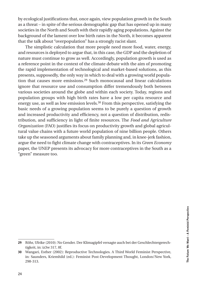by ecological justifications that, once again, view population growth in the South as a threat – in spite of the serious demographic gap that has opened up in many societies in the North and South with their rapidly aging populations. Against the background of the lament over low birth rates in the North, it becomes apparent that the talk about "overpopulation" has a strongly racist slant.

The simplistic calculation that more people need more food, water, energy, and resources is deployed to argue that, in this case, the GDP and the depletion of nature must continue to grow as well. Accordingly, population growth is used as a reference point in the context of the climate debate with the aim of promoting the rapid implementation of technological and market-based solutions, as this presents, supposedly, the only way in which to deal with a growing world population that causes more emissions.29 Such monocausal and linear calculations ignore that resource use and consumption differ tremendously both between various societies around the globe and within each society. Today, regions and population groups with high birth rates have a low per capita resource and energy use, as well as low emission levels.30 From this perspective, satisfying the basic needs of a growing population seems to be purely a question of growth and increased productivity and efficiency, not a question of distribution, redistribution, and sufficiency in light of finite resources. The *Food and Agriculture Organization* (FAO) justifies its focus on productivity growth and global agricultural value chains with a future world population of nine billion people. Others take up the seasoned arguments about family planning and, in knee-jerk fashion, argue the need to fight climate change with contraceptives. In its *Green Economy* paper, the UNEP presents its advocacy for more contraceptives in the South as a "green" measure too.

<sup>29</sup> Röhr, Ulrike (2010): No Gender. Der Klimagipfel versagte auch bei der Geschlechtergerechtigkeit, in: iz3w 317, 8f.

<sup>30</sup> Wangari, Esther (2002): Reproductive Technologies. A Third World Feminist Perspective, in: Saunders, Kriemhild (ed.): Feminist Post-Development Thought, London/New York, 298-313.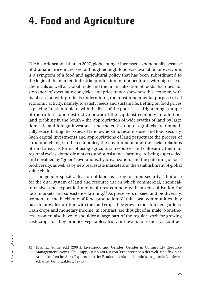# 4. Food and Agriculture

The historic scandal that, in 2007, global hunger increased exponentially because of dramatic price increases, although enough food was available for everyone, is a symptom of a food and agricultural policy that has been subordinated to the logic of the market. Industrial production in monocultures with high use of chemicals as well as global trade and the financialization of foods that does not stop short of speculating on yields and price trends show how this economy with its obsession with profits is undermining the most fundamental purpose of all economic activity, namely, to satisfy needs and sustain life. Betting on food prices is playing Russian roulette with the lives of the poor. It is a frightening example of the ruthless and destructive power of the capitalist economy. In addition, land grabbing in the South – the appropriation of wide swaths of land by large domestic and foreign investors – and the cultivation of agrofuels are dramatically exacerbating the issues of land ownership, resource use, and food security. Such capital investments and appropriations of land perpetuate the process of structural change in the economies, the environment, and the social relations of rural areas, as forms of using agricultural resources and cultivating them for regional cycles, domestic markets, and subsistence farming are being superseded and devalued by "green" revolutions, by privatization, and the patenting of local biodiversity, as well as by new real estate markets and the establishment of global value chains.

The gender-specific division of labor is a key for food security – but also for the dual system of land and resource use in which commercial, chemicalintensive, and export-led monocultures compete with mixed cultivation for local markets and subsistence farming.<sup>31</sup> As preservers of seed and biodiversity, women are the backbone of food production. Within local communities they have to provide nutrition with the food crops they grow in their kitchen gardens. Cash crops and monetary income, in contrast, are thought of as male. Nonetheless, women also have to shoulder a large part of the regular work for growing cash crops, or they produce vegetables, fruit, or flowers for export as contract

<sup>31</sup> Krishna, Sumi (ed.) (2004): Livelihood and Gender: Gender in Community Resource Management, New Delhi; Rupp, Helen (2007): Von 'Ernährerinnen der Welt' und flexiblen Arbeitskräften im Agro-Exportsektor. In: Reader des Aktionsbündnisses globale Landwirtschaft zu G8, Frankfurt, 42-45.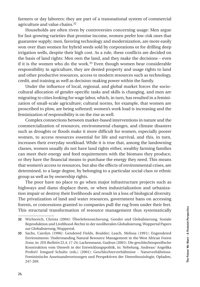farmers or day laborers; they are part of a transnational system of commercial agriculture and value chains.32

Households are often riven by controversies concerning usage: Men argue for fast-growing varieties that promise income, women prefer low-risk ones that guarantee supply; men, favoring technology and modernization, are more easily won over than women for hybrid seeds sold by corporations or for drilling deep irrigation wells, despite their high cost. As a rule, these conflicts are decided on the basis of land rights: Men own the land, and they make the decisions – even if it is the women who do the work.33 Even though women bear considerable responsibility in agriculture, they are denied property and usage rights to land and other productive resources, access to modern resources such as technology, credit, and training as well as decision-making power within the family.

Under the influence of local, regional, and global market forces the sociocultural allocation of gender-specific tasks and skills is changing, and men are migrating to cities looking for wage labor, which, in turn, has resulted in a feminization of small-scale agriculture; cultural norms, for example, that women are proscribed to plow, are being softened; women's work load is increasing and the feminization of responsibility is on the rise as well.

Complex connections between market-based interventions in nature and the commercialization of resources, environmental changes, and climate disasters such as droughts or floods make it more difficult for women, especially poorer women, to access resources essential for life and survival, and this, in turn, increases their everyday workload. While it is true that, among the landowning classes, women usually do not have land rights either, wealthy farming families can meet their energy and feed requirements with the biomass they produce, or they have the financial means to purchase the energy they need. This means that women's access to resources, but also the effects of environmental crises, are determined, to a large degree, by belonging to a particular social class or ethnic group as well as by ownership rights.

The poor have no place to go when major infrastructure projects such as highways and dams displace them, or when industrialization and urbanization impair or destroy their livelihoods and result in a loss of biological diversity. The privatization of land and water resources, government bans on accessing forests, or concessions granted to companies pull the rug from under their feet. This structural transformation of resource management thus systematically

<sup>32</sup> Wichterich, Christa (2004): Überlebenssicherung, Gender und Globalisierung. Soziale Reproduktion und Livelihood-Rechte in der neoliberalen Globalisierung, Wuppertal Papers zur Globalisierung, Wuppertal.

<sup>33</sup> Sachs, Carolyn (1996): Gendered Fields, Boulder; Leach, Melissa (1991): Engendered Environments: Understanding Natural Resource Management in the West African Forest Zone, in: *IDS Bulletin* 22,4, 17-24; Lachenmann, Gudrun (2001): Die geschlechtsspezifische Konstruktion vom Umwelt in der Entwicklungspolitik, in: Nebelung, Andreas/ Angelika Proferl/ Irmgard Schultz (eds.) (2001): Geschlechterverhältnisse - Naturverhältnisse. Feministische Auseinandersetzungen und Perspektiven der Umweltsoziologie, Opladen, 247-269.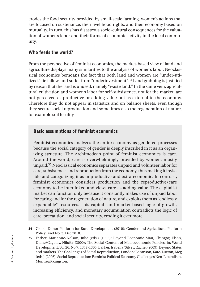erodes the food security provided by small-scale farming, women's actions that are focused on sustenance, their livelihood rights, and their economy based on mutuality. In turn, this has disastrous socio-cultural consequences for the valuation of women's labor and their forms of economic activity in the local community.

#### Who feeds the world?

From the perspective of feminist economics, the market-based view of land and agriculture displays many similarities to the analysis of women's labor. Neoclassical economics bemoans the fact that both land and women are "under-utilized," lie fallow, and suffer from "underinvestment".34 Land grabbing is justified by reason that the land is unused, namely "waste land." In the same vein, agricultural cultivation and women's labor for self-subsistence, not for the market, are not perceived as productive or adding value but as external to the economy. Therefore they do not appear in statistics and on balance sheets, even though they secure social reproduction and sometimes also the regeneration of nature, for example soil fertility.

#### Basic assumptions of feminist economics

Feminist economics analyzes the entire economy as gendered processes because the social category of gender is deeply inscribed in it as an organizing structure. The Archimedean point of feminist economics is care. Around the world, care is overwhelmingly provided by women, mostly unpaid.35 Neoclassical economics separates unpaid and volunteer labor for care, subsistence, and reproduction from the economy, thus making it invisible and categorizing it as unproductive and extra-economic. In contrast, feminist economics considers production and the reproductive/care economy to be interlinked and views care as adding value. The capitalist market can function only because it constantly makes use of unpaid labor for caring and for the regeneration of nature, and exploits them as "endlessly expandable" resources. This capital- and market-based logic of growth, increasing efficiency, and monetary accumulation contradicts the logic of care, precaution, and social security, eroding it ever more.

<sup>34</sup> Global Donor Platform for Rural Development (2010): Gender and Agriculture. Platform Policy Brief No. 3, Dec 2010.

<sup>35</sup> Ferber, Marianne/Nelson, Julie (eds.) (1993): Beyond Economic Man, Chicago; Elson, Diane/Cagatay, Nilufer (2000): The Social Content of Macroeconomic Policies, in: World Development, Vol.26, No.7, 1347-1365; Bakker, Isabella/Silvey, Rachel (2009): Beyond States and markets. The Challenges of Social Reproduction, London; Bezanson, Kate/Lucton, Meg (eds.) (2006): Social Reproduction: Feminist Political Economy Challenges Neo-Liberalism, Montreal/Kingston.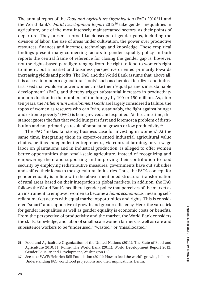The annual report of the *Food and Agriculture Organization* (FAO) 2010/11 and the World Bank's *World Development Report* 201236 take gender inequalities in agriculture, one of the most intensely mainstreamed sectors, as their points of departure. They present a broad kaleidoscope of gender gaps, including the division of labor, the size of areas under cultivation, the power over productive resources, finances and incomes, technology and knowledge. These empirical findings present many connecting factors to gender equality policy. In both reports the central frame of reference for closing the gender gap is, however, not the rights-based paradigm ranging from the right to food to women's right to inherit, but a market and business perspective oriented primarily towards increasing yields and profits. The FAO and the World Bank assume that, above all, it is access to modern agricultural "tools" such as chemical fertilizer and industrial seed that would empower women, make them "equal partners in sustainable development" (FAO), and thereby trigger substantial increases in productivity and a reduction in the numbers of the hungry by 100 to 150 million. As, after ten years, the *Millennium Development Goals* are largely considered a failure, the topos of women as rescuers who can "win, sustainably, the fight against hunger and extreme poverty" (FAO) is being revived and exploited. At the same time, this stance ignores the fact that world hunger is first and foremost a problem of distribution and not primarily a result of population growth or low productivity.<sup>37</sup>

The FAO "makes [a] strong business case for investing in women." At the same time, integrating them in export-oriented industrial agricultural value chains, be it as independent entrepreneurs, via contract farming, or via wage labor on plantations and in industrial production, is alleged to offer women better opportunities than small-scale agriculture. Instead of recognizing and empowering them and supporting and improving their contribution to food security by employing redistributive measures, governments have cut subsidies and shifted their focus to the agricultural industries. Thus, the FAO's concept for gender equality is in line with the above-mentioned structural transformation of rural areas based on their integration in global markets. In addition, the FAO follows the World Bank's neoliberal gender policy that perceives of the market as an instrument to empower women to become a *homo economicus*, meaning selfreliant market actors with equal market opportunities and rights. This is considered "smart" and supportive of growth and greater efficiency. Here, the yardstick for gender inequalities as well as gender equality is economic costs or benefits. From the perspective of productivity and the market, the World Bank considers the skills, knowledge, and labor of small-scale women farmers as well as care and subsistence workers to be "underused," "wasted," or "misallocated."

<sup>36</sup> Food and Agriculture Organization of the United Nations (2011): The State of Food and Agriculture 2010/11, Rome; The World Bank (2011): World Development Report 2012. Gender Equality and Development, Washington DC.

<sup>37</sup> See also: WWF/Heinrich Böll Foundation (2011): How to feed the world's growing billions. Understanding FAO world food projections and their implications, Berlin.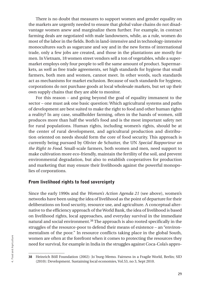There is no doubt that measures to support women and gender equality on the markets are urgently needed to ensure that global value chains do not disadvantage women anew and marginalize them further. For example, in contract farming deals are negotiated with male landowners, while, as a rule, women do most of the labor in the fields. Both in land-intensive and in technology-intensive monocultures such as sugarcane and soy and in the new forms of international trade, only a few jobs are created, and those in the plantations are mostly for men. In Vietnam, 18 women street vendors sell a ton of vegetables, while a supermarket employs only four people to sell the same amount of product. Supermarkets, as well as free trade agreements, set high standards for hygiene that small farmers, both men and women, cannot meet. In other words, such standards act as mechanisms for market exclusion. Because of such standards for hygiene, corporations do not purchase goods at local wholesale markets, but set up their own supply chains that they are able to monitor.

For this reason – and going beyond the goal of equality immanent to the sector – one must ask one basic question: Which agricultural systems and paths of development are best suited to make the right to food and other human rights a reality? In any case, smallholder farming, often in the hands of women, still produces more than half the world's food and is the most important safety net for rural populations. Human rights, including women's rights, should be at the center of rural development, and agricultural production and distribution oriented on needs should form the core of food security. This approach is currently being pursued by Olivier de Schutter, the UN *Special Rapporteur on the Right to Food*. Small-scale farmers, both women and men, need support to make cultivation more eco-friendly, maintain the fertility of the soil, and prevent environmental degradation, but also to establish cooperatives for production and marketing that may ensure their livelihoods against the powerful monopolies of corporations.

#### From livelihood rights to food sovereignty

Since the early 1990s and the *Women's Action Agenda 21* (see above), women's networks have been using the idea of livelihood as the point of departure for their deliberations on food security, resource use, and agriculture. A conceptual alternative to the efficiency approach of the World Bank, the idea of livelihood is based on livelihood rights, local approaches, and everyday survival in the immediate natural and social environment.38 The approach is also rooted specifically in the struggles of the resource-poor to defend their means of existence – an "environmentalism of the poor." In resource conflicts taking place in the global South, women are often at the forefront when it comes to protecting the resources they need for survival, for example in India in the struggles against Coca-Cola's appro-

<sup>38</sup> Heinrich Böll Foundation (2002): Jo`burg-Memo. Fairness in a Fragile World, Berlin; SID (2010): Development. Sustaining local economies, Vol.53, no 3, Sept 2010.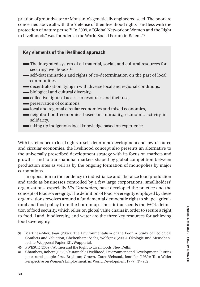priation of groundwater or Monsanto's genetically engineered seed. The poor are concerned above all with the "defense of their livelihood rights" and less with the protection of nature per se.39 In 2009, a "Global Network on Women and the Right to Livelihoods" was founded at the World Social Forum in Belem.<sup>40</sup>

### Key elements of the livelihood approach The integrated system of all material, social, and cultural resources for securing livelihoods, 41 self-determination and rights of co-determination on the part of local communities, decentralization, tying in with diverse local and regional conditions, **biological and cultural diversity,**

- collective rights of access to resources and their use,
- **preservation of commons,**
- local and regional circular economies and mixed economies,
- neighborhood economies based on mutuality, economic activity in solidarity,
- taking up indigenous local knowledge based on experience.

With its reference to local rights to self-determine development and low-resource and circular economies, the livelihood concept also presents an alternative to the universally prescribed development strategy with its focus on markets and growth – and to transnational markets shaped by global competition between production sites as well as by the ongoing formation of monopolies by major corporations.

In opposition to the tendency to industrialize and liberalize food production and trade as businesses controlled by a few large corporations, smallholders' organizations, especially *Via Campesina*, have developed the practice and the concept of food sovereignty. The definition of food sovereignty employed by these organizations revolves around a fundamental democratic right to shape agricultural and food policy from the bottom up. Thus, it transcends the FAO's definition of food security, which relies on global value chains in order to secure a right to food. Land, biodiversity, and water are the three key resources for achieving food sovereignty.

<sup>39</sup> Martinez-Alier, Joan (2002): The Environmentalism of the Poor. A Study of Ecological Conflicts and Valuation, Cheltenham; Sachs, Wolfgang (2003). Ökologie und Menschenrechte, Wuppertal Papier 131, Wuppertal.

<sup>40</sup> PWESCR (2009): Women and the Right to Livelihoods, New Delhi.

<sup>41</sup> Chambers, Robert (1988): Sustainable Livelihood, Environment and Development. Putting poor rural people first. Brighton; Grown, Caren/Sebstad, Jennifer (1989): To a Wider Perspective on Women's Employment, in: World Development 17 (7), 37-952.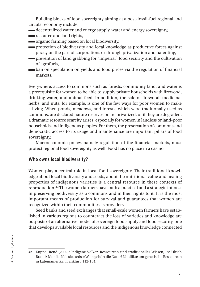Building blocks of food sovereignty aiming at a post-fossil-fuel regional and circular economy include:

- decentralized water and energy supply, water and energy sovereignty,
- resource and land rights,
- organic farming based on local biodiversity,
- protection of biodiversity and local knowledge as productive forces against piracy on the part of corporations or through privatization and patenting,
- prevention of land grabbing for "imperial" food security and the cultivation of agrofuels,
- ban on speculation on yields and food prices via the regulation of financial markets.

Everywhere, access to commons such as forests, community land, and water is a prerequisite for women to be able to supply private households with firewood, drinking water, and animal feed. In addition, the sale of firewood, medicinal herbs, and nuts, for example, is one of the few ways for poor women to make a living. When ponds, meadows, and forests, which were traditionally used as commons, are declared nature reserves or are privatized, or if they are degraded, a dramatic resource scarcity arises, especially for women in landless or land-poor households and indigenous peoples. For them, the preservation of commons and democratic access to its usage and maintenance are important pillars of food sovereignty.

Macroeconomic policy, namely regulation of the financial markets, must protect regional food sovereignty as well: Food has no place in a casino.

#### Who owns local biodiversity?

Women play a central role in local food sovereignty. Their traditional knowledge about local biodiversity and seeds, about the nutritional value and healing properties of indigenous varieties is a central resource in these contexts of reproduction.42 The women farmers have both a practical and a strategic interest in preserving biodiversity as a commons and in their rights to it: It is the most important means of production for survival and guarantees that women are recognized within their communities as providers.

Seed banks and seed exchanges that small-scale women farmers have established in various regions to counteract the loss of varieties and knowledge are outposts of an alternative model of sovereign food supply and food security, one that develops available local resources and the indigenous knowledge connected

<sup>42</sup> Kuppe, René (2002): Indigene Völker, Ressourcen und traditionelles Wissen, in: Ulrich Brand/ Monika Kalcsics (eds.): Wem gehört die Natur? Konflikte um genetische Ressourcen in Lateinamerika, Frankfurt, 112-134.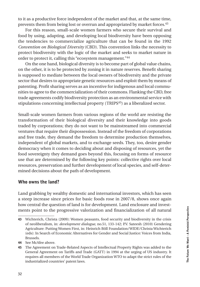to it as a productive force independent of the market and that, at the same time, prevents them from being lost or overrun and appropriated by market forces.<sup>43</sup>

For this reason, small-scale women farmers who secure their survival and food by using, adapting, and developing local biodiversity have been opposing the tendencies to commercialize agriculture that can be found in the 1992 *Convention on Biological Diversity* (CBD). This convention links the necessity to protect biodiversity with the logic of the market and seeks to market nature in order to protect it, calling this "ecosystem management."44

On the one hand, biological diversity is to become part of global value chains, on the other, it is to be protected by zoning it in nature reserves. Benefit sharing is supposed to mediate between the local owners of biodiversity and the private sector that desires to appropriate genetic resources and exploit them by means of patenting. Profit sharing serves as an incentive for indigenous and local communities to agree to the commercialization of their commons. Flanking the CBD, free trade agreements codify biodiversity protection as an environmental service with stipulations concerning intellectual property (TRIPS<sup>45</sup>) as a liberalized sector.

Small-scale women farmers from various regions of the world are resisting the transformation of their biological diversity and their knowledge into goods traded by corporations; they do not want to be mainstreamed into commercial ventures that require their dispossession. Instead of the freedom of corporations and free trade, they demand the freedom to determine production themselves, independent of global markets, and to exchange seeds. They, too, desire gender democracy when it comes to deciding about and disposing of resources, yet the food sovereignty they demand goes beyond this, focusing on forms of resource use that are determined by the following key points: collective rights over local resources, preservation and further development of local species, and self-determined decisions about the path of development.

#### Who owns the land?

Land grabbing by wealthy domestic and international investors, which has seen a steep increase since prices for basic foods rose in 2007/8, shows once again how central the question of land is for development. Land enclosure and investments point to the progressive valorization and financialization of all natural

<sup>43</sup> Wichterich, Christa (2009): Women peasants, food security and biodiversity in the crisis of neoliberalism, in: *development dialogue*, no.51, 133-142; P.V. Sateesh (2010) Gendering Agriculture: Putting Women First, in: Heinrich Böll Foundation/WIDE/Christa Wichterich (eds): In Search of Economic Alternatives for Gender and Social Justice: Voices from India, Brussels.

<sup>44</sup> See McAfee above.

<sup>45</sup> The Agreement on Trade-Related Aspects of Intellectual Property Rights was added to the General Agreement on Tariffs and Trade (GATT) in 1994 at the urging of US industry. It requires all members of the World Trade Organization WTO to adapt the strict rules of the industrialized countries' patent laws.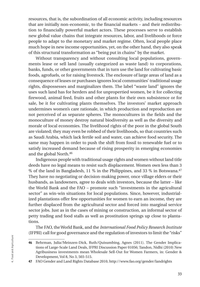resources, that is, the subordination of all economic activity, including resources that are initially non-economic, to the financial markets – and their redistribution to financially powerful market actors. These processes serve to establish new global value chains that integrate resources, labor, and livelihoods or force people to adapt to the monetary and market regime. Often, local people place much hope in new income opportunities, yet, on the other hand, they also speak of this structural transformation as "being put in chains" by the market.

Without transparency and without consulting local populations, governments lease or sell land (usually categorized as waste land) to corporations, banks, funds, or other governments that in turn use the land for cultivating basic foods, agrofuels, or for raising livestock. The enclosure of large areas of land as a consequence of leases or purchases ignores local communities' traditional usage rights, dispossesses and marginalizes them. The label "waste land" ignores the uses such land has for herders and for unpropertied women, be it for collecting firewood, animal feed, fruits and other plants for their own subsistence or for sale, be it for cultivating plants themselves. The investors' market approach undermines women's care rationale, in which production and reproduction are not perceived of as separate spheres. The monocultures in the fields and the monoculture of money destroy natural biodiversity as well as the diversity and morale of local economies. The livelihood rights of the poor in the global South are violated; they may even be robbed of their livelihoods, so that countries such as Saudi Arabia, which lack fertile soil and water, can achieve food security. The same may happen in order to push the shift from fossil to renewable fuel or to satisfy increased demand because of rising prosperity in emerging economies and the global North.46

Indigenous people with traditional usage rights and women without land title deeds have no legal means to resist such displacement. Women own less than 3 % of the land in Bangladesh, 11 % in the Philippines, and 33 % in Botswana.47 They have no negotiating or decision-making power, once village elders or their husbands, as landowners, agree to deals with investors, because the latter – like the World Bank and the FAO – promote such "investments in the agricultural sector" as win-win situations for local populations. Since, however, industrialized plantations offer few opportunities for women to earn an income, they are further displaced from the agricultural sector and forced into marginal service sector jobs. Just as in the cases of mining or construction, an informal sector of petty trading and food stalls as well as prostitution springs up close to plantations.

The FAO, the World Bank, and the *International Food Policy Research Institute* (IFPRI) call for good governance and the regulation of investors to limit the "risks"

<sup>46</sup> Behrman, Julia/Meinzen-Dick, Ruth/Quisumbing, Agnes (2011). The Gender Implications of Large-Scale Land Deals, IFPRI Discussion Paper 01056; Tandon, Nidhi (2010) New Agribusiness investments mean Wholesale Sell-Out for Women Farmers, in: Gender & Development, Vol 8, No 3, 503-515.

<sup>47</sup> FAO Gender and Land Rights Database 2010, http://www.fao.org/gender/landrights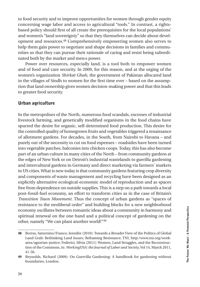to food security and to improve opportunities for women through gender equity concerning wage labor and access to agricultural "tools." In contrast, a rightsbased policy should first of all create the prerequisites for the local populations' and women's "land sovereignty" so that they themselves can decide about development and resources.48 Comprehensively empowering women also serves to help them gain power to negotiate and shape decisions in families and communities so that they can pursue their rationale of caring and resist being subordinated both by the market and men›s power.

Power over resources, especially land, is a tool both to empower women and of food and care security. In 2009, for this reason, and at the urging of the women's organization *Shirkat Ghah*, the government of Pakistan allocated land in the villages of Sindh to women for the first time ever – based on the assumption that land ownership gives women decision-making power and that this leads to greater food security.

#### Urban agriculture

In the metropolises of the North, numerous food scandals, excesses of industrial livestock farming, and genetically modified organisms in the food chains have spurred the desire for organic, self-determined food production. This desire for the controlled quality of homegrown fruits and vegetables triggered a renaissance of allotment gardens. For decades, in the South, from Nairobi to Havana – and purely out of the necessity to cut on food expenses – roadsides have been turned into vegetable patches, balconies into chicken coops. Today, this has also become part of an urban culture in many cities of the North – from community gardens at the edges of New York or on Detroit's industrial wastelands to guerilla gardening and intercultural gardens in Germany and direct marketing via farmers' markets in US cities. What is new today is that community gardens featuring crop diversity and components of waste management and recycling have been designed as an explicitly alternative ecological-economic model of reproduction and as spaces free from dependence on outside supplies. This is a step on a path towards a local post-fossil-fuel economy, an effort to transform cities as in the case of Britain's *Transition Town Movement*. Thus the concept of urban gardens as "spaces of resistance to the neoliberal order" and building blocks for a new neighborhood economy oscillates between romantic ideas about a community in harmony and spiritual renewal on the one hand and a political concept of gardening on the other, namely "We can plant another world!"49

<sup>48</sup> Borras, Saturnino/Franco, Jennifer (2010): Towards a Broader View of the Politics of Global Land Grab: Rethinking Land Issues, Reframing Resistance, TNI, http:/www.tni.org/workarea/agrarian-justice; Federici, Silvia (2011): Women, Land Struggles, and the Reconstruction of the Commons, in: *WorkingUSA: the Journal of Labor and Society*, Vol 14, March 2011, 41-56.

<sup>49</sup> Reynolds, Richard (2009): On Guerrilla Gardening: A handbook for gardening without boundaries, London.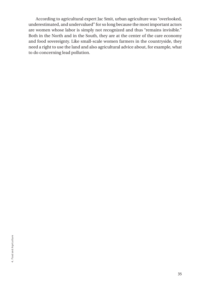According to agricultural expert Jac Smit, urban agriculture was "overlooked, underestimated, and undervalued" for so long because the most important actors are women whose labor is simply not recognized and thus "remains invisible." Both in the North and in the South, they are at the center of the care economy and food sovereignty. Like small-scale women farmers in the countryside, they need a right to use the land and also agricultural advice about, for example, what to do concerning lead pollution.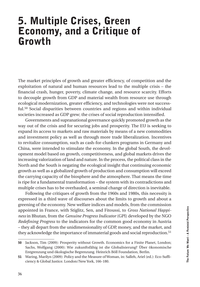## 5. Multiple Crises, Green Economy, and a Critique of Growth

The market principles of growth and greater efficiency, of competition and the exploitation of natural and human resources lead to the multiple crisis – the financial crash, hunger, poverty, climate change, and resource scarcity. Efforts to decouple growth from GDP and material wealth from resource use through ecological modernization, greater efficiency, and technologies were not successful.50 Social disparities between countries and regions and within individual societies increased as GDP grew; the crises of social reproduction intensified.

Governments and supranational governance quickly promoted growth as the way out of the crisis and for securing jobs and prosperity. The EU is seeking to expand its access to markets and raw materials by means of a new commodities and investment policy as well as through more trade liberalization. Incentives to revitalize consumption, such as cash-for-clunkers programs in Germany and China, were intended to stimulate the economy. In the global South, the development model based on growth, competitiveness, and global markets drives the increasing valorization of land and nature. In the process, the political class in the North and the South is negating the ecological insight that continuing economic growth as well as a globalized growth of production and consumption will exceed the carrying capacity of the biosphere and the atmosphere. That means the time is ripe for a fundamental transformation – the system with its contradictions and multiple crises has to be overhauled, a seminal change of direction is inevitable.

Following the critiques of growth from the 1960s and 1980s, this necessity is expressed in a third wave of discourses about the limits to growth and about a greening of the economy. New welfare indices and models, from the commission appointed in France, with Stiglitz, Sen, and Fitoussi, to *Gross National Happiness* in Bhutan, from the *Genuine Progress Indicator* (GPI) developed by the NGO *Redefining Progress* to the indicators for the common good economy in Austria – they all depart from the unidimensionality of GDP, money, and the market, and they acknowledge the importance of immaterial goods and social reproduction.<sup>51</sup>

<sup>50</sup> Jackson, Tim (2009): Prosperity without Growth. Economics for a Finite Planet, London; Sachs, Wolfgang (2000): Wie zukunftsfähig ist die Globalisierung? Über ökonomische Entgrenzung und ökologische Begrenzung. Heinrich Böll Foundation, Berlin.

<sup>51</sup> Waring, Marilyn (2009): Policy and the Measure of Woman, in: Salleh, Ariel (ed.): Eco-Sufficiency & Global Justice. London/New York, 166-180.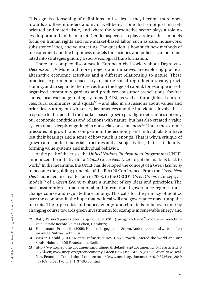This signals a loosening of definitions and scales as they become more open towards a different understanding of well-being – one that is not just marketoriented and materialistic, and where the reproductive sector plays a role no less important than the market. Gender aspects also play a role as these models focus on human rights and non-market-based labor, such as care, housework, subsistence labor, and volunteering. The question is how such new methods of measurement and the happiness models for societies and policies can be translated into strategies guiding a socio-ecological transformation.

There are complex discourses in European civil society about Degrowth/ *Decroissance*. 52 More and more projects and initiatives are exploring practical alternative economic activities and a different relationship to nature. These practical experimental spaces try to tackle social reproduction, care, provisioning, and to separate themselves from the logic of capital, for example in selforganized community gardens and producer-consumer associations, for-free shops, local exchange trading systems (LETS), as well as through local currencies, rural communes, and squats53 – and also in discussions about values and priorities. Starting out with everyday practices and the individuals involved is a response to the fact that the market-based growth paradigm determines not only our economic conditions and relations with nature, but has also created a value system that is deeply engrained in our social consciousness.54 Under the extreme pressures of growth and competition, the economy and individuals too have lost their bearings and a sense of how much is enough. That is why a critique of growth aims both at material structures and at subjectivities, that is, at identityforming value systems and individual behavior.

At the peak of the crisis, the *United Nations Environment Programme* (UNEP) announced the initiative for a *Global Green New Deal* "to get the markets back to work." In the meantime, the UNEP has developed the concept of a *Green Economy*  to become the guiding principle of the Rio+20 Conference. From the *Green New Deal*, launched in Great Britain in 2008, to the OECD's *Green Growth* concept, all models55 of a *Green Economy* share a number of key ideas and principles. The basic assumption is that national and international governance regimes must change course and regulate the economy. This calls for the primacy of politics over the economy, in the hope that political will and governance may trump the markets. The triple crisis of finance, energy, and climate is to be overcome by changing course towards green investments, for example in renewable energy and

<sup>52</sup> Rätz, Werner/Egan-Krieger, Tanja von et al. (2011): Ausgewachsen! Ökologische Gerechtigkeit. Soziale Rechte. Gutes Leben, Hamburg.

<sup>53</sup> Habermann, Friederike (2009): Halbinseln gegen den Strom. Anders leben und wirtschaften im Alltag, Sulzbach/Taunus.

<sup>54</sup> Welzer, Harald (2011): Mental Infrastructures. How Growth Entered the World and our Souls, Heinrich Böll Foundation, Berlin.

<sup>55</sup> http://www.unep.org/documents.multilingual/default.asp?documentid=548&articleid=5 957&l=en; www.unep.org/greeneconomy; Green New Deal Group (2008): Green New Deal. New Economic Foundation. London; http://www.oecd.org/document/10/0,3746,en\_2649 \_37465\_44076170\_1\_1\_1\_37465,00.html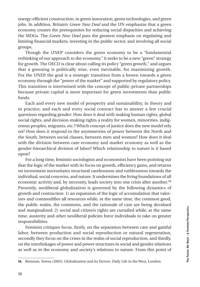energy-efficient construction, in green innovation, green technologies, and green jobs. In addition, Britain's *Green New Deal* and the UN emphasize that a green economy creates the prerequisites for reducing social disparities and achieving the MDGs. The *Green New Deal* puts the greatest emphasis on regulating and limiting financial markets, investing in the public sector, and involving all social groups.

Though the UNEP considers the green economy to be a "fundamental rethinking of our approach to the economy," it seeks to be a new "green" strategy for growth. The OECD is clear about calling its policy "green growth," and argues that a greening is politically wise, even inevitable, for maximizing growth. For the UNEP, the goal is a strategic transition from a brown towards a green economy through the "power of the market" and supported by regulatory policy. This transition is intertwined with the concept of public-private partnerships because private capital is more important for green investments than public funds.

Each and every new model of prosperity and sustainability, in theory and in practice, and each and every social contract has to answer a few crucial questions regarding gender: How does it deal with making human rights, global social rights, and decision-making rights a reality for women, minorities, indigenous peoples, migrants, etc.? Which concept of justice does the new model rely on? How does it respond to the asymmetries of power between the North and the South, between social classes, between men and women? How does it deal with the division between care economy and market economy as well as the gender-hierarchical division of labor? Which relationship to nature is it based upon?

For a long time, feminist sociologists and economists have been pointing out that the logic of the market with its focus on growth, efficiency gains, and returns on investment necessitates structural carelessness and ruthlessness towards the individual, social concerns, and nature. It undermines the living foundations of all economic activity and, by necessity, leads society into one crisis after another.56 Presently, neoliberal globalization is governed by the following dynamics of growth and contraction: 1) an expansion of the logic of accumulation that valorizes and commodifies all resources while, at the same time, the common good, the public realm, the commons, and the rationale of care are being devalued and marginalized; 2) social and citizen's rights are curtailed while, at the same time, austerity and other neoliberal policies force individuals to take on greater responsibilities.

Feminist critiques focus, firstly, on the separation between care and gainful labor, between production and social reproduction or natural regeneration, secondly they focus on the crises in the realm of social reproduction, and thirdly, on the interlinkages of power and power structures in social and gender relations as well as in the economy and society's relations to nature. From this point of

<sup>56</sup> Brennan, Teresa (2003): Globalization and its Terrors. Daily Life in the West, London.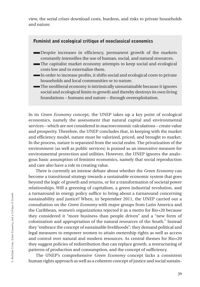view, the serial crises download costs, burdens, and risks to private households and nature.

#### Feminist and ecological critique of neoclassical economics

- Despite increases in efficiency, permanent growth of the markets constantly intensifies the use of human, social, and natural resources.
- The capitalist market economy attempts to keep social and ecological costs low and to externalize them.
- In order to increase profits, it shifts social and ecological costs to private households and local communities or to nature.
- The neoliberal economy is intrinsically unsustainable because it ignores social and ecological limits to growth and thereby destroys its own living foundations – humans and nature – through overexploitation.

In its *Green Economy* concept, the UNEP takes up a key point of ecological economics, namely the assessment that natural capital and environmental services – which are not considered in macroeconomic calculations – create value and prosperity. Therefore, the UNEP concludes that, in keeping with the market and efficiency model, nature must be valorized, priced, and brought to market. In the process, nature is separated from the social realm. The privatization of the environment (as well as public services) is praised as an innovative measure for environmental protection and utilities. However, the UNEP ignores the analogous basic assumption of feminist economics, namely that social reproduction and care also have a role in creating value.

There is currently an intense debate about whether the *Green Economy* can become a transitional strategy towards a sustainable economic system that goes beyond the logic of growth and returns, or for a transformation of societal power relationships. Will a greening of capitalism, a green industrial revolution, and a turnaround in energy policy suffice to bring about a turnaround concerning sustainability and justice? When, in September 2011, the UNEP carried out a consultation on the *Green Economy* with major groups from Latin America and the Caribbean, women's organizations rejected it as a motto for Rio+20 because they considered it "more business than people driven" and a "new form of colonization and appropriation of the natural resources of the South." Instead they "embrace the concept of sustainable livelihoods"; they demand political and legal measures to empower women to attain ownership rights as well as access and control over natural and modern resources. As central themes for Rio+20 they suggest policies of redistribution that can replace growth, a restructuring of patterns of production and consumption, and the concept of sufficiency.

The UNEP's comprehensive *Green Economy* concept lacks a consistent human rights approach as well as a coherent concept of justice and social sustain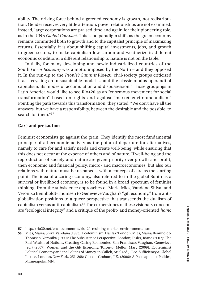ability. The driving force behind a greened economy is growth, not redistribution. Gender receives very little attention, power relationships are not examined; instead, large corporations are praised time and again for their pioneering role, as in the UN's *Global Compact.* This is no paradigm shift, as the green economy remains committed both to growth and to the capitalist principle of maximizing returns. Essentially, it is about shifting capital investments, jobs, and growth to green sectors, to make capitalism low-carbon and weatherize it; different economic conditions, a different relationship to nature is not on the table.

Initially, for many developing and newly industrialized countries of the South *Green Economy* was a motto imposed by the North – and they opposed it. In the run-up to the *People's Summit* Rio+20, civil-society groups criticized it as "recycling an unsustainable model … and the classic modus operandi of capitalism, its modes of accumulation and dispossession." Those groupings in Latin America would like to see Rio+20 as an "enormous movement for social transformation" based on rights and against "market environmentalism." Pointing the path towards this transformation, they stated: "We don't have all the answers, but we have a responsibility, between the desirable and the possible, to search for them."57

#### Care and precaution

Feminist economists go against the grain. They identify the most fundamental principle of all economic activity as the point of departure for alternatives, namely to care for and satisfy needs and create well-being, while ensuring that this does not occur at the expense of others and of nature. If well-being and the reproduction of society and nature are given priority over growth and profit, then economic and financial policy, micro- and macroeconomies, but also our relations with nature must be reshaped – with a concept of care as the starting point. The idea of a caring economy, also referred to in the global South as a survival or livelihood economy, is to be found in a broad spectrum of feminist thinking, from the subsistence approaches of Maria Mies, Vandana Shiva, and Veronika Bennholdt-Thomsen to Genevieve Vaughan's "gift economy," from antiglobalization positions to a queer perspective that transcends the dualism of capitalism versus anti-capitalism.58 The cornerstones of these visionary concepts are "ecological integrity" and a critique of the profit- and money-oriented *homo* 

<sup>57</sup> http://rio20.net/en/documentos/rio-20-resisting-market-environmentalism

<sup>58</sup> Mies, Maria/Shiva, Vandana (1993): Ecofeminism, Halifax/London; Mies, Maria/Bennholdt-Thomsen, Veronika (1999): The Subsistence Perspective, London; Eisler, Riane (2007): The Real Wealth of Nations. Creating Caring Economies, San Francisco; Vaughan, Genevieve (ed.) (2007): Women and the Gift Economy, Toronto; Mellor, Mary (2009): Ecofeminist Political Economy and the Politics of Money, in: Salleh, Ariel (ed.): Eco-Sufficiency & Global Justice. London/New York, 251-268; Gibson-Graham, J.K. (2006): A Postcapitalist Politics, Minneapolis, MN.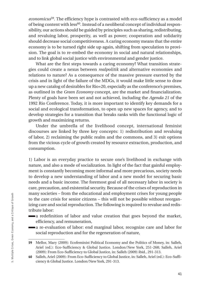*economicus*59. The efficiency hype is contrasted with eco-sufficiency as a model of being content with less60. Instead of a neoliberal concept of individual responsibility, our actions should be guided by principles such as sharing, redistributing, and revaluing labor, prosperity, as well as power; cooperation and solidarity should decrease social competitiveness. A caring economy means that the entire economy is to be turned right side up again, shifting from speculation to provision. The goal is to re-embed the economy in social and natural relationships, and to link global social justice with environmental and gender justice.

What are the first steps towards a caring economy? What transition strategies could create a nexus between *realpolitik* and alternative economies and relations to nature? As a consequence of the massive pressure exerted by the crisis and in light of the failure of the MDGs, it would make little sense to draw up a new catalog of desirables for Rio+20, especially as the conference's premises, as outlined in the *Green Economy* concept, are the market and financialization*.* Plenty of goals have been set and not achieved, including the *Agenda 21* of the 1992 Rio Conference. Today, it is more important to identify key demands for a social and ecological transformation, to open up new spaces for agency, and to develop strategies for a transition that breaks ranks with the functional logic of growth and maximizing returns.

Under the umbrella of the livelihood concept, international feminist discourses are linked by three key concepts: 1) redistribution and revaluing of labor, 2) reclaiming the public realm and the commons, and 3) exit options from the vicious cycle of growth created by resource extraction, production, and consumption.

1) Labor is an everyday practice to secure one's livelihood in exchange with nature, and also a mode of socialization. In light of the fact that gainful employment is constantly becoming more informal and more precarious, society needs to develop a new understanding of labor and a new model for securing basic needs and a basic income. The foremost goal of all necessary labor in society is care, precaution, and existential security. Because of the crises of reproduction in many societies – from the educational and employment crises for young people to the care crisis for senior citizens – this will not be possible without reorganizing care and social reproduction. The following is required to revalue and redistribute labor:

- a redefinition of labor and value creation that goes beyond the market, efficiency, and remuneration,
- a re-evaluation of labor: end marginal labor, recognize care and labor for social reproduction and for the regeneration of nature,

<sup>59</sup> Mellor, Mary (2009): Ecofeminist Political Economy and the Politics of Money, in: Salleh, Ariel (ed.): Eco-Sufficiency & Global Justice. London/New York, 251-268; Salleh, Ariel (2009): From Eco-Sufficiency to Global Justice, in: Salleh (2009) ibid., 291-313.

<sup>60</sup> Salleh, Ariel (2009): From Eco-Sufficiency to Global Justice, in: Salleh, Ariel (ed.): Eco-Sufficiency & Global Justice. London/New York, 291-313.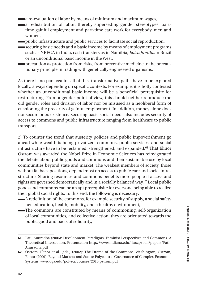- a re-evaluation of labor by means of minimum and maximum wages,
- a redistribution of labor, thereby superseding gender stereotypes: parttime gainful employment and part-time care work for everybody, men and women,
- public infrastructure and public services to facilitate social reproduction,
- securing basic needs and a basic income by means of employment programs such as NREGA in India, cash transfers as in Namibia, *bolsa familia* in Brazil or an unconditional basic income in the West,
	- precaution as protection from risks, from preventive medicine to the precautionary principle in trading with genetically engineered organisms.

As there is no panacea for all of this, transformative paths have to be explored locally, always depending on specific contexts. For example, it is hotly contested whether an unconditional basic income will be a beneficial prerequisite for restructuring. From a gender point of view, this should neither reproduce the old gender roles and division of labor nor be misused as a neoliberal form of cushioning the precarity of gainful employment. In addition, money alone does not secure one's existence. Securing basic social needs also includes security of access to commons and public infrastructure ranging from healthcare to public transport.

2) To counter the trend that austerity policies and public impoverishment go ahead while wealth is being privatized, commons, public services, and social infrastructure have to be reclaimed, strengthened, and expanded.61 That Elinor Ostrom was awarded the Nobel Prize in Economic Sciences has reinvigorated the debate about public goods and commons and their sustainable use by local communities beyond state and market. The weakest members of society, those without fallback positions, depend most on access to public care and social infrastructure. Sharing resources and commons benefits more people if access and rights are governed democratically and in a socially balanced way.62 Local public goods and commons can be an apt prerequisite for everyone being able to realize their global social rights. To this end, the following is necessary:

- A redefinition of the commons, for example security of supply, a social safety net, education, health, mobility, and a healthy environment,
- The commons are constituted by means of commoning, self-organization of local communities, and collective action; they are orientated towards the public good and pacts of solidarity,

<sup>61</sup> Pati, Anuradha (2006): Development Paradigms, Feminist Perspectives and Commons. A Theoretical Intersection. Presentation http://www.indiana.edu/-iascp/bali/papers/Pati\_ Anuradha.pdf

<sup>62</sup> Ostrom, Elinor et al. (eds.) (2002): The Drama of the Commons, Washington; Ostrom, Elinor (2009): Beyond Markets and States: Polycentric Governance of Complex Economic Systems, www.uga.edu/pol-sci/courses/2010.pstrom.pdf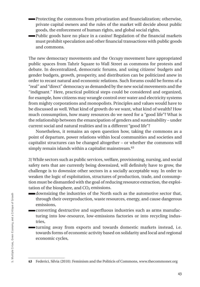- Protecting the commons from privatization and financialization; otherwise, private capital owners and the rules of the market will decide about public goods, the enforcement of human rights, and global social rights,
- Public goods have no place in a casino! Regulation of the financial markets must prohibit speculation and other financial transactions with public goods and commons.

The new democracy movements and the *Occupy* movement have appropriated public spaces from Tahrir Square to Wall Street as commons for protests and debate. In decentralized, democratic forums, and using citizens' budgets and gender budgets, growth, prosperity, and distribution can be politicized anew in order to recast natural and economic relations. Such forums could be forms of a "real" and "direct" democracy as demanded by the new social movements and the "indignant." Here, practical political steps could be considered and organized, for example, how citizens may wrangle control over water and electricity systems from mighty corporations and monopolists. Principles and values would have to be discussed as well. What kind of growth do we want, what kind of wealth? How much consumption, how many resources do we need for a "good life"? What is the relationship between the emancipation of genders and sustainability – under current social and natural realities and in a different "good life"?

Nonetheless, it remains an open question how, taking the commons as a point of departure, power relations within local communities and societies and capitalist structures can be changed altogether – or whether the commons will simply remain islands within a capitalist mainstream.<sup>63</sup>

3) While sectors such as public services, welfare, provisioning, nursing, and social safety nets that are currently being downsized, will definitely have to grow, the challenge is to downsize other sectors in a socially acceptable way. In order to weaken the logic of exploitation, structures of production, trade, and consumption must be dismantled with the goal of reducing resource extraction, the exploitation of the biosphere, and  $CO<sub>2</sub>$  emissions.

- downsizing the industries of the North such as the automotive sector that, through their overproduction, waste resources, energy, and cause dangerous emissions,
- converting destructive and superfluous industries such as arms manufacturing into low-resource, low-emissions factories or into recycling industries,
- turning away from exports and towards domestic markets instead, i.e. towards forms of economic activity based on solidarity and local and regional economic cycles,

<sup>63</sup> Federici, Silvia (2010): Feminism and the Politicis of Commons, www.thecommoner.org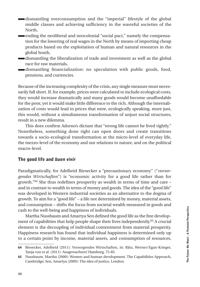- dismantling overconsumption and the "imperial" lifestyle of the global middle classes and achieving sufficiency in the wasteful societies of the North,
- ending the neoliberal and neocolonial "social pact," namely the compensation for the lowering of real wages in the North by means of importing cheap products based on the exploitation of human and natural resources in the global South,
	- dismantling the liberalization of trade and investment as well as the global race for raw materials,
- dismantling financialization: no speculation with public goods, food, pensions, and currencies.

Because of the increasing complexity of the crisis, any single measure must necessarily fall short. If, for example, prices were calculated to include ecological costs, they would increase dramatically and many goods would become unaffordable for the poor, yet it would make little difference to the rich. Although the internalization of costs would lead to prices that were, ecologically speaking, more just, this would, without a simultaneous transformation of unjust social structures, result in a new dilemma.

This does confirm Adorno's dictum that "wrong life cannot be lived rightly." Nonetheless, something done right can open doors and create transitions towards a socio-ecological transformation at the micro-level of everyday life, the mezzo-level of the economy and our relations to nature, and on the political macro-level.

#### The good life and *buen vivir*

Paradigmatically, for Adelheid Biesecker a "precautionary economy" ("*vorsorgendes Wirtschaften*") is "economic activity for a good life rather than for growth."64 She thus redefines prosperity as wealth in terms of time and care – and in contrast to wealth in terms of money and goods. The idea of the "good life" was developed in Western industrial societies as an alternative to the dogma of growth. To aim for a "good life" – a life not determined by money, material assets, and consumption – shifts the focus from societal wealth measured in goods and cash to the well-being and happiness of individuals.

Martha Nussbaum and Amartya Sen defined the good life as the free development of capabilities that help people shape their lives independently.65 A crucial element is the decoupling of individual contentment from material prosperity. Happiness research has found that individual happiness is determined only up to a certain point by income, material assets, and consumption of resources.

<sup>64</sup> Biesecker, Adelheid (2011): Vorsorgendes Wirtschaften, in: Rätz, Werner/Egan-Krieger, Tanja von et al. (2011): Ausgewachsen! Hamburg, 75-85.

<sup>65</sup> Nussbaum, Martha (2000): Women and human development. The Capabilities Approach, Cambridge; Sen, Amartya (2009): The idea of justice, London.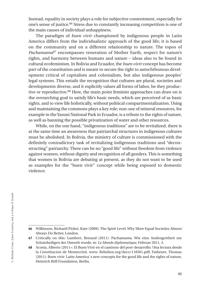Instead, equality in society plays a role for subjective contentment, especially for one's sense of justice.66 Stress due to constantly increasing competition is one of the main causes of individual unhappiness.

The paradigm of *buen vivir* championed by indigenous people in Latin America differs from the individualistic approach of the good life; it is based on the community and on a different relationship to nature. The topos of *Pachamama*67 encompasses veneration of Mother Earth, respect for nature's rights, and harmony between humans and nature – ideas also to be found in cultural ecofeminism. In Bolivia and Ecuador, the *buen vivir* concept has become part of the constitution and is meant to secure the right to autochthonous development critical of capitalism and colonialism, but also indigenous peoples' legal systems. This entails the recognition that cultures are plural, societies and developments diverse, and it explicitly values all forms of labor, be they productive or reproductive.68 Here, the main point feminist approaches can draw on is the overarching goal to satisfy life's basic needs, which are perceived of as basic rights, and to view life holistically, without political compartmentalization. Using and maintaining the commons plays a key role; non-use of mineral resources, for example in the Yasuni National Park in Ecuador, is a tribute to the rights of nature, as well as banning the possible privatization of water and other resources.

While, on the one hand, "indigenous traditions" are to be revitalized, there is at the same time an awareness that patriarchal structures in indigenous cultures must be abolished. In Bolivia, the ministry of culture is commissioned with the definitely contradictory task of revitalizing indigenous traditions and "deconstructing" patriarchy. There can be no "good life" without freedom from violence against women, without dignity and recognition of all genders. This is something that women in Bolivia are debating at present, as they do not want to be used as examples for the "buen vivir" concept while being exposed to domestic violence.

<sup>66</sup> Wilkinson, Richard/Picket, Kate (2009): The Spirit Level. Why More Equal Societies Almost Always Do Better, London.

<sup>67</sup> Critically on this: Lambert, Renaud (2011): Pachamama. Wie eine Andengottheit zur Schutzheiligen der Umwelt wurde, in: *Le Monde diplomatique*, Februar 2011, 3.

<sup>68</sup> Acosta, Alberto (2011=: El Buen Vivir en el camiono del post-desarrollo: Una lectura desde la Constitucion de Montecristi. www. Rebelion.org/docs/118561.pdf; Fatheuer, Thomas (2011): Buen vivir: Latin America`s new concepts for the good life and the rights of nature, Heinrich Böll Foundation, Berlin.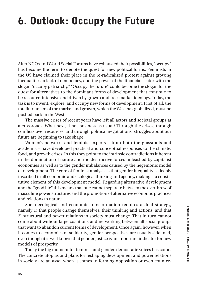# 6. Outlook: Occupy the Future

After NGOs and World Social Forums have exhausted their possibilities, "occupy" has become the term to denote the quest for new political forms. Feminists in the US have claimed their place in the re-radicalized protest against growing inequalities, a lack of democracy, and the power of the financial sector with the slogan "occupy patriarchy." "Occupy the future" could become the slogan for the quest for alternatives to the dominant forms of development that continue to be resource-intensive and driven by growth and free-market ideology. Today, the task is to invent, explore, and occupy new forms of development. First of all, the totalitarianism of the market and growth, which the West has globalized, must be pushed back in the West.

The massive crises of recent years have left all actors and societal groups at a crossroads: What next, if not business as usual? Through the crises, through conflicts over resources, and through political negotiations, struggles about our future are beginning to take shape.

Women's networks and feminist experts – from both the grassroots and academia – have developed practical and conceptual responses to the climate, food, and growth crises. In this they point to the intrinsic contradictions inherent in the domination of nature and the destructive forces unleashed by capitalist economies as well as to the gender imbalances caused by the hegemonic model of development. The core of feminist analysis is that gender inequality is deeply inscribed in all economic and ecological thinking and agency, making it a constitutive element of this development model. Regarding alternative development and the "good life" this means that one cannot separate between the overthrow of masculine power structures and the promotion of alternative economic practices and relations to nature.

Socio-ecological and economic transformation requires a dual strategy, namely 1) that people change themselves, their thinking and actions, and that 2) structural and power relations in society must change. That in turn cannot come about without large coalitions and networking between all social groups that want to abandon current forms of development. Once again, however, when it comes to economies of solidarity, gender perspectives are usually sidelined, even though it is well known that gender justice is an important indicator for new models of prosperity.

Today the big moment for feminist and gender-democratic voices has come. The concrete utopias and plans for reshaping development and power relations in society are an asset when it comes to forming opposition or even counter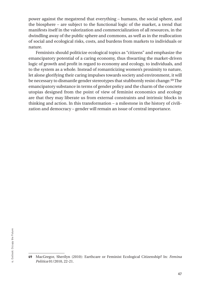power against the megatrend that everything – humans, the social sphere, and the biosphere – are subject to the functional logic of the market, a trend that manifests itself in the valorization and commercialization of all resources, in the dwindling away of the public sphere and commons, as well as in the reallocation of social and ecological risks, costs, and burdens from markets to individuals or nature.

Feminists should politicize ecological topics as "citizens" and emphasize the emancipatory potential of a caring economy, thus thwarting the market-driven logic of growth and profit in regard to economy and ecology, to individuals, and to the system as a whole. Instead of romanticizing women's proximity to nature, let alone glorifying their caring impulses towards society and environment, it will be necessary to dismantle gender stereotypes that stubbornly resist change.69 The emancipatory substance in terms of gender policy and the charm of the concrete utopias designed from the point of view of feminist economics and ecology are that they may liberate us from external constraints and intrinsic blocks in thinking and action. In this transformation – a milestone in the history of civilization and democracy – gender will remain an issue of central importance.

<sup>69</sup> MacGregor, Sherilyn (2010): Earthcare or Feminist Ecological Citizenship? In: *Femina Politica* 01/2010, 22-21.